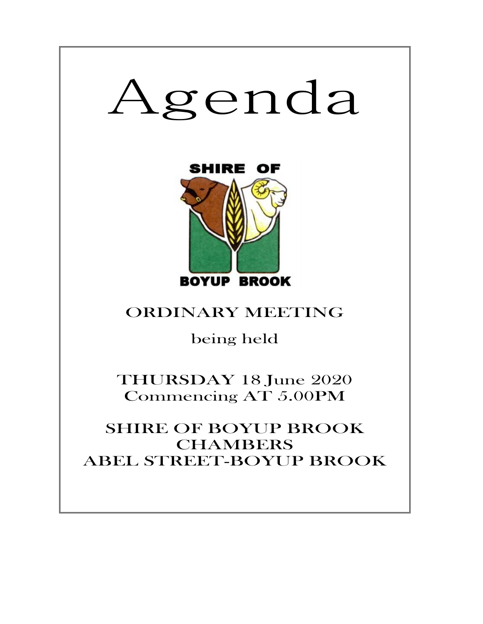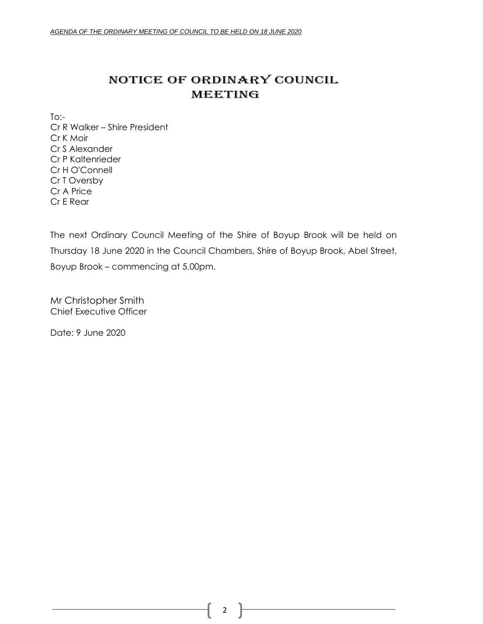## NOTICE OF ORDINARY COUNCIL MEETING

To:- Cr R Walker – Shire President Cr K Moir Cr S Alexander Cr P Kaltenrieder Cr H O'Connell Cr T Oversby Cr A Price Cr E Rear

The next Ordinary Council Meeting of the Shire of Boyup Brook will be held on Thursday 18 June 2020 in the Council Chambers, Shire of Boyup Brook, Abel Street, Boyup Brook – commencing at 5.00pm.

Mr Christopher Smith Chief Executive Officer

Date: 9 June 2020

2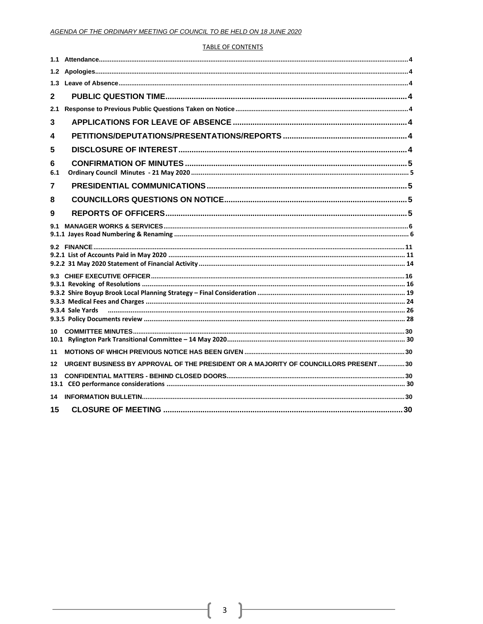#### **TABLE OF CONTENTS**

| 1.3      |                                                                                     |  |
|----------|-------------------------------------------------------------------------------------|--|
| 2        |                                                                                     |  |
| 2.1      |                                                                                     |  |
| 3        |                                                                                     |  |
| 4        |                                                                                     |  |
| 5        |                                                                                     |  |
| 6<br>6.1 |                                                                                     |  |
| 7        |                                                                                     |  |
| 8        |                                                                                     |  |
| 9        |                                                                                     |  |
| 9.1      |                                                                                     |  |
|          |                                                                                     |  |
|          |                                                                                     |  |
|          |                                                                                     |  |
| 11       |                                                                                     |  |
| 12       | URGENT BUSINESS BY APPROVAL OF THE PRESIDENT OR A MAJORITY OF COUNCILLORS PRESENT30 |  |
| 13       |                                                                                     |  |
| 14       |                                                                                     |  |
| 15       |                                                                                     |  |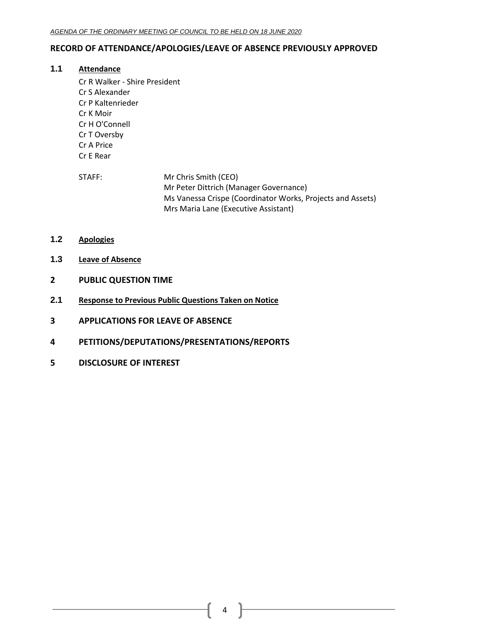## <span id="page-3-0"></span>**RECORD OF ATTENDANCE/APOLOGIES/LEAVE OF ABSENCE PREVIOUSLY APPROVED**

## **1.1 Attendance**

- Cr R Walker Shire President Cr S Alexander Cr P Kaltenrieder Cr K Moir Cr H O'Connell Cr T Oversby Cr A Price Cr E Rear
- STAFF: Mr Chris Smith (CEO) Mr Peter Dittrich (Manager Governance) Ms Vanessa Crispe (Coordinator Works, Projects and Assets) Mrs Maria Lane (Executive Assistant)
- <span id="page-3-1"></span>**1.2 Apologies**
- <span id="page-3-2"></span>**1.3 Leave of Absence**
- <span id="page-3-3"></span>**2 PUBLIC QUESTION TIME**
- <span id="page-3-4"></span>**2.1 Response to Previous Public Questions Taken on Notice**
- <span id="page-3-5"></span>**3 APPLICATIONS FOR LEAVE OF ABSENCE**
- <span id="page-3-6"></span>**4 PETITIONS/DEPUTATIONS/PRESENTATIONS/REPORTS**
- <span id="page-3-7"></span>**5 DISCLOSURE OF INTEREST**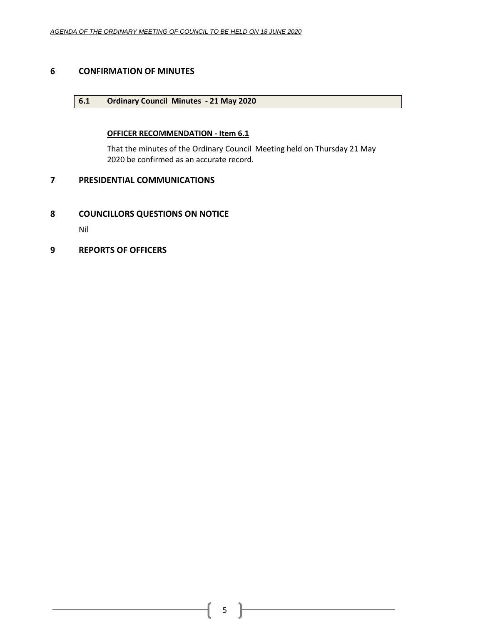## <span id="page-4-1"></span><span id="page-4-0"></span>**6 CONFIRMATION OF MINUTES**

## **6.1 Ordinary Council Minutes - 21 May 2020**

## **OFFICER RECOMMENDATION - Item 6.1**

That the minutes of the Ordinary Council Meeting held on Thursday 21 May 2020 be confirmed as an accurate record.

## <span id="page-4-2"></span>**7 PRESIDENTIAL COMMUNICATIONS**

## <span id="page-4-3"></span>**8 COUNCILLORS QUESTIONS ON NOTICE**

Nil

## <span id="page-4-4"></span>**9 REPORTS OF OFFICERS**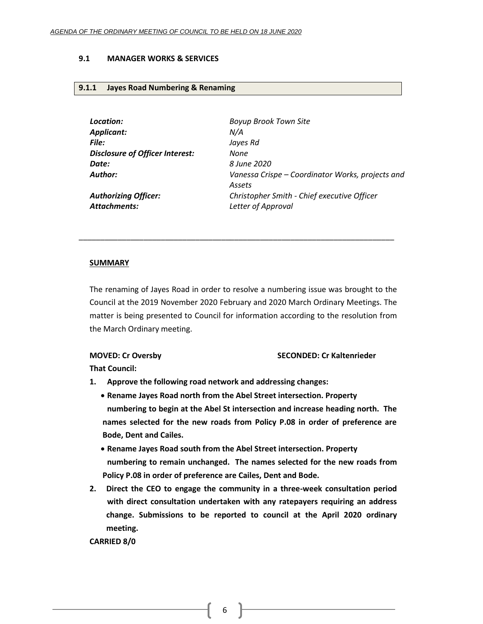#### <span id="page-5-0"></span>**9.1 MANAGER WORKS & SERVICES**

#### <span id="page-5-1"></span>**9.1.1 Jayes Road Numbering & Renaming**

*Location: Boyup Brook Town Site Applicant: N/A File: Jayes Rd Disclosure of Officer Interest: None Date: 8 June 2020*

*Author: Vanessa Crispe – Coordinator Works, projects and Assets Authorizing Officer: Christopher Smith - Chief executive Officer Attachments: Letter of Approval*

# \_\_\_\_\_\_\_\_\_\_\_\_\_\_\_\_\_\_\_\_\_\_\_\_\_\_\_\_\_\_\_\_\_\_\_\_\_\_\_\_\_\_\_\_\_\_\_\_\_\_\_\_\_\_\_\_\_\_\_\_\_\_\_\_\_\_\_\_\_\_\_\_\_

## **SUMMARY**

The renaming of Jayes Road in order to resolve a numbering issue was brought to the Council at the 2019 November 2020 February and 2020 March Ordinary Meetings. The matter is being presented to Council for information according to the resolution from the March Ordinary meeting.

## **MOVED: Cr Oversby SECONDED: Cr Kaltenrieder**

**That Council:**

- **1. Approve the following road network and addressing changes:**
	- **Rename Jayes Road north from the Abel Street intersection. Property numbering to begin at the Abel St intersection and increase heading north. The names selected for the new roads from Policy P.08 in order of preference are Bode, Dent and Cailes.**
	- **Rename Jayes Road south from the Abel Street intersection. Property numbering to remain unchanged. The names selected for the new roads from Policy P.08 in order of preference are Cailes, Dent and Bode.**
- **2. Direct the CEO to engage the community in a three-week consultation period with direct consultation undertaken with any ratepayers requiring an address change. Submissions to be reported to council at the April 2020 ordinary meeting.**

**CARRIED 8/0**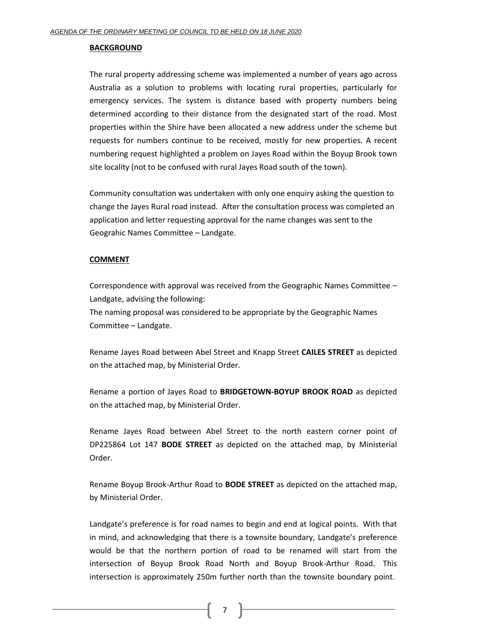#### **BACKGROUND**

The rural property addressing scheme was implemented a number of years ago across Australia as a solution to problems with locating rural properties, particularly for emergency services. The system is distance based with property numbers being determined according to their distance from the designated start of the road. Most properties within the Shire have been allocated a new address under the scheme but requests for numbers continue to be received, mostly for new properties. A recent numbering request highlighted a problem on Jayes Road within the Boyup Brook town site locality (not to be confused with rural Jayes Road south of the town).

Community consultation was undertaken with only one enquiry asking the question to change the Jayes Rural road instead. After the consultation process was completed an application and letter requesting approval for the name changes was sent to the Geograhic Names Committee – Landgate.

#### **COMMENT**

Correspondence with approval was received from the Geographic Names Committee – Landgate, advising the following:

The naming proposal was considered to be appropriate by the Geographic Names Committee – Landgate.

Rename Jayes Road between Abel Street and Knapp Street **CAILES STREET** as depicted on the attached map, by Ministerial Order.

Rename a portion of Jayes Road to **BRIDGETOWN-BOYUP BROOK ROAD** as depicted on the attached map, by Ministerial Order.

Rename Jayes Road between Abel Street to the north eastern corner point of DP225864 Lot 147 **BODE STREET** as depicted on the attached map, by Ministerial Order.

Rename Boyup Brook-Arthur Road to **BODE STREET** as depicted on the attached map, by Ministerial Order.

Landgate's preference is for road names to begin and end at logical points. With that in mind, and acknowledging that there is a townsite boundary, Landgate's preference would be that the northern portion of road to be renamed will start from the intersection of Boyup Brook Road North and Boyup Brook-Arthur Road. This intersection is approximately 250m further north than the townsite boundary point.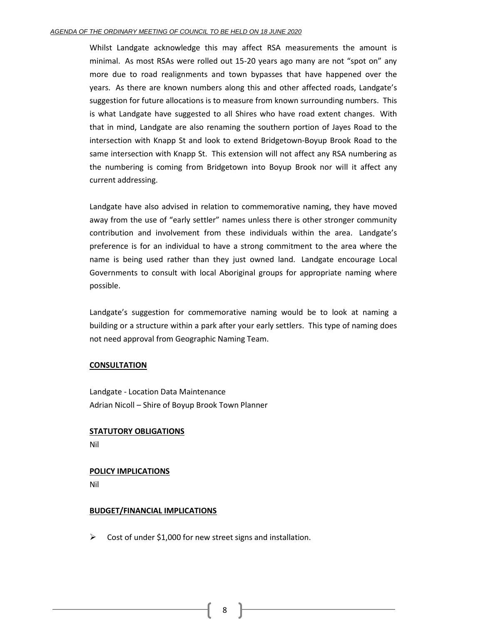#### *AGENDA OF THE ORDINARY MEETING OF COUNCIL TO BE HELD ON 18 JUNE 2020*

Whilst Landgate acknowledge this may affect RSA measurements the amount is minimal. As most RSAs were rolled out 15-20 years ago many are not "spot on" any more due to road realignments and town bypasses that have happened over the years. As there are known numbers along this and other affected roads, Landgate's suggestion for future allocations is to measure from known surrounding numbers. This is what Landgate have suggested to all Shires who have road extent changes. With that in mind, Landgate are also renaming the southern portion of Jayes Road to the intersection with Knapp St and look to extend Bridgetown-Boyup Brook Road to the same intersection with Knapp St. This extension will not affect any RSA numbering as the numbering is coming from Bridgetown into Boyup Brook nor will it affect any current addressing.

Landgate have also advised in relation to commemorative naming, they have moved away from the use of "early settler" names unless there is other stronger community contribution and involvement from these individuals within the area. Landgate's preference is for an individual to have a strong commitment to the area where the name is being used rather than they just owned land. Landgate encourage Local Governments to consult with local Aboriginal groups for appropriate naming where possible.

Landgate's suggestion for commemorative naming would be to look at naming a building or a structure within a park after your early settlers. This type of naming does not need approval from Geographic Naming Team.

#### **CONSULTATION**

Landgate - Location Data Maintenance Adrian Nicoll – Shire of Boyup Brook Town Planner

## **STATUTORY OBLIGATIONS**

Nil

## **POLICY IMPLICATIONS**

Nil

## **BUDGET/FINANCIAL IMPLICATIONS**

 $\triangleright$  Cost of under \$1,000 for new street signs and installation.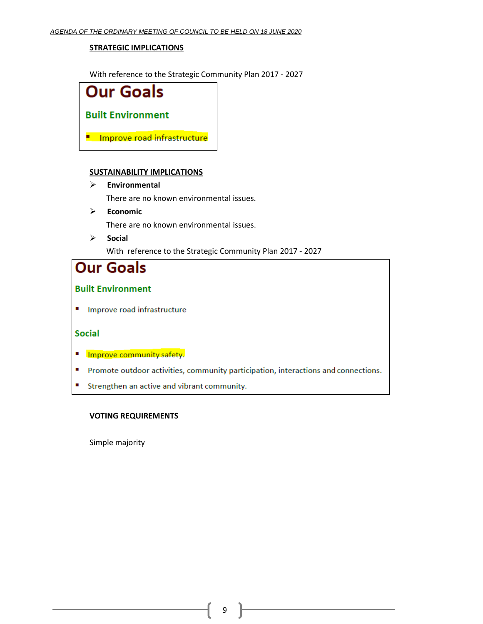## **STRATEGIC IMPLICATIONS**

With reference to the Strategic Community Plan 2017 - 2027



## **SUSTAINABILITY IMPLICATIONS**

➢ **Environmental**

There are no known environmental issues.

➢ **Economic**

There are no known environmental issues.

➢ **Social** With reference to the Strategic Community Plan 2017 - 2027

# **Our Goals**

## **Built Environment**

Improve road infrastructure

## **Social**

- Improve community safety.
- " Promote outdoor activities, community participation, interactions and connections.
- Strengthen an active and vibrant community.

## **VOTING REQUIREMENTS**

Simple majority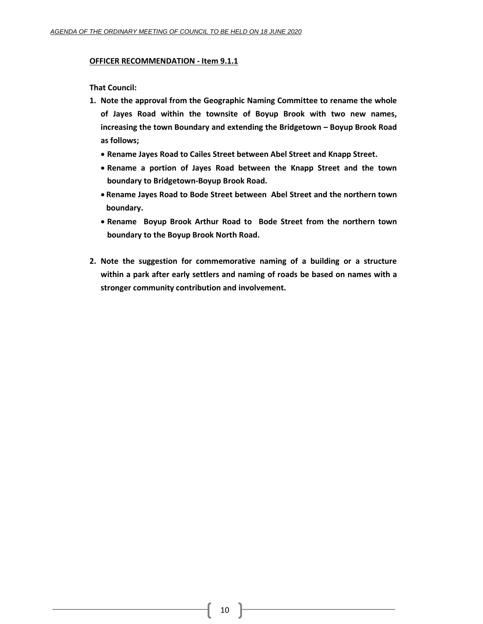#### **OFFICER RECOMMENDATION - Item 9.1.1**

**That Council:**

- **1. Note the approval from the Geographic Naming Committee to rename the whole of Jayes Road within the townsite of Boyup Brook with two new names, increasing the town Boundary and extending the Bridgetown – Boyup Brook Road as follows;**
	- **Rename Jayes Road to Cailes Street between Abel Street and Knapp Street.**
	- **Rename a portion of Jayes Road between the Knapp Street and the town boundary to Bridgetown-Boyup Brook Road.**
	- **Rename Jayes Road to Bode Street between Abel Street and the northern town boundary.**
	- **Rename Boyup Brook Arthur Road to Bode Street from the northern town boundary to the Boyup Brook North Road.**
- **2. Note the suggestion for commemorative naming of a building or a structure within a park after early settlers and naming of roads be based on names with a stronger community contribution and involvement.**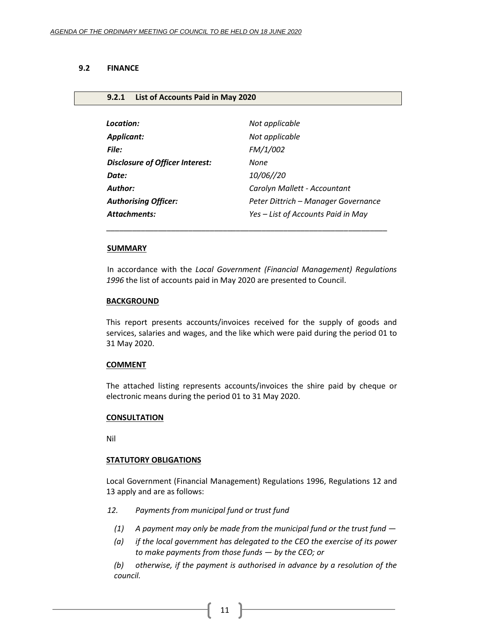#### <span id="page-10-0"></span>**9.2 FINANCE**

#### <span id="page-10-1"></span>**9.2.1 List of Accounts Paid in May 2020**

| Location:                              | Not applicable                      |
|----------------------------------------|-------------------------------------|
| Applicant:                             | Not applicable                      |
| File:                                  | FM/1/002                            |
| <b>Disclosure of Officer Interest:</b> | None                                |
| Date:                                  | 10/06//20                           |
| Author:                                | Carolyn Mallett - Accountant        |
| <b>Authorising Officer:</b>            | Peter Dittrich - Manager Governance |
| Attachments:                           | Yes - List of Accounts Paid in May  |
|                                        |                                     |

\_\_\_\_\_\_\_\_\_\_\_\_\_\_\_\_\_\_\_\_\_\_\_\_\_\_\_\_\_\_\_\_\_\_\_\_\_\_\_\_\_\_\_\_\_\_\_\_\_\_\_\_\_\_\_\_\_\_\_\_\_\_\_\_\_

#### **SUMMARY**

In accordance with the *Local Government (Financial Management) Regulations 1996* the list of accounts paid in May 2020 are presented to Council.

#### **BACKGROUND**

This report presents accounts/invoices received for the supply of goods and services, salaries and wages, and the like which were paid during the period 01 to 31 May 2020.

#### **COMMENT**

The attached listing represents accounts/invoices the shire paid by cheque or electronic means during the period 01 to 31 May 2020.

#### **CONSULTATION**

Nil

#### **STATUTORY OBLIGATIONS**

Local Government (Financial Management) Regulations 1996, Regulations 12 and 13 apply and are as follows:

- *12. Payments from municipal fund or trust fund*
	- *(1) A payment may only be made from the municipal fund or the trust fund —*
	- *(a) if the local government has delegated to the CEO the exercise of its power to make payments from those funds — by the CEO; or*
	- *(b) otherwise, if the payment is authorised in advance by a resolution of the council.*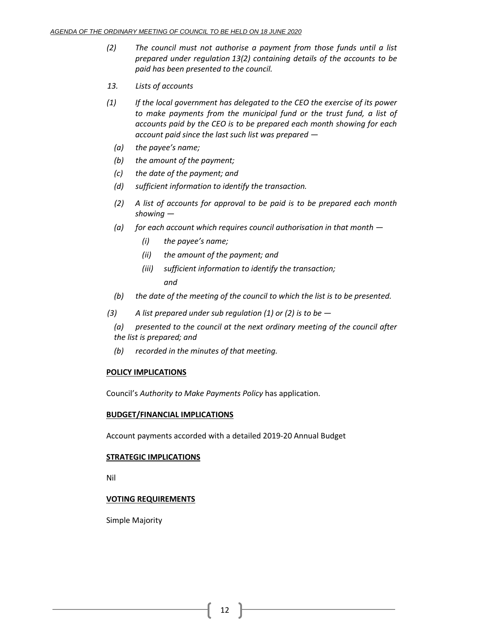- *(2) The council must not authorise a payment from those funds until a list prepared under regulation 13(2) containing details of the accounts to be paid has been presented to the council.*
- *13. Lists of accounts*
- *(1) If the local government has delegated to the CEO the exercise of its power to make payments from the municipal fund or the trust fund, a list of accounts paid by the CEO is to be prepared each month showing for each account paid since the last such list was prepared —*
	- *(a) the payee's name;*
	- *(b) the amount of the payment;*
	- *(c) the date of the payment; and*
	- *(d) sufficient information to identify the transaction.*
	- *(2) A list of accounts for approval to be paid is to be prepared each month showing —*
	- *(a) for each account which requires council authorisation in that month —*
		- *(i) the payee's name;*
		- *(ii) the amount of the payment; and*
		- *(iii) sufficient information to identify the transaction; and*
	- *(b) the date of the meeting of the council to which the list is to be presented.*
- *(3) A list prepared under sub regulation (1) or (2) is to be —*
	- *(a) presented to the council at the next ordinary meeting of the council after the list is prepared; and*
	- *(b) recorded in the minutes of that meeting.*

## **POLICY IMPLICATIONS**

Council's *Authority to Make Payments Policy* has application.

## **BUDGET/FINANCIAL IMPLICATIONS**

Account payments accorded with a detailed 2019-20 Annual Budget

## **STRATEGIC IMPLICATIONS**

Nil

## **VOTING REQUIREMENTS**

Simple Majority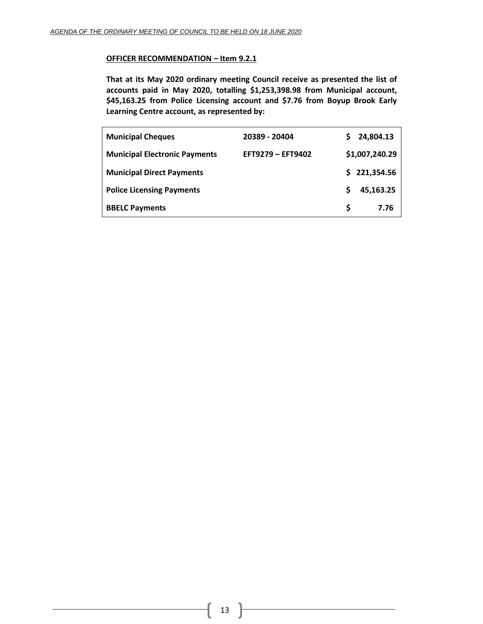## **OFFICER RECOMMENDATION – Item 9.2.1**

**That at its May 2020 ordinary meeting Council receive as presented the list of accounts paid in May 2020, totalling \$1,253,398.98 from Municipal account, \$45,163.25 from Police Licensing account and \$7.76 from Boyup Brook Early Learning Centre account, as represented by:**

| <b>Municipal Cheques</b>             | 20389 - 20404     |    | 24,804.13      |
|--------------------------------------|-------------------|----|----------------|
| <b>Municipal Electronic Payments</b> | EFT9279 - EFT9402 |    | \$1,007,240.29 |
| <b>Municipal Direct Payments</b>     |                   |    | \$221,354.56   |
| <b>Police Licensing Payments</b>     |                   | S  | 45,163.25      |
| <b>BBELC Payments</b>                |                   | S. | 7.76           |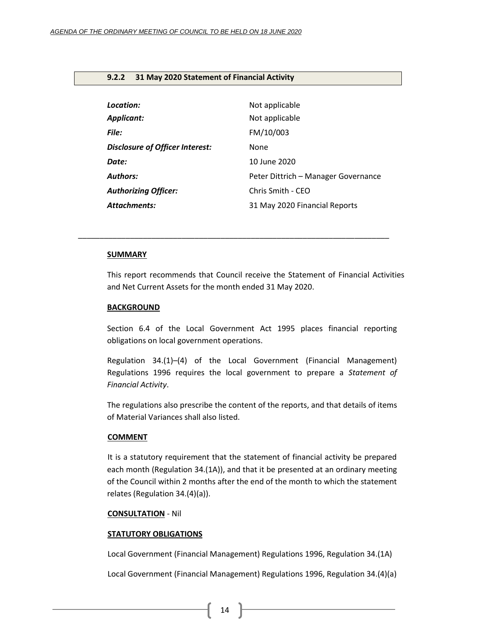## <span id="page-13-0"></span>**9.2.2 31 May 2020 Statement of Financial Activity**

| Location:                              | Not applicable                      |
|----------------------------------------|-------------------------------------|
| <b>Applicant:</b>                      | Not applicable                      |
| <b>File:</b>                           | FM/10/003                           |
| <b>Disclosure of Officer Interest:</b> | None                                |
| Date:                                  | 10 June 2020                        |
| <b>Authors:</b>                        | Peter Dittrich - Manager Governance |
| <b>Authorizing Officer:</b>            | Chris Smith - CEO                   |
| <b>Attachments:</b>                    | 31 May 2020 Financial Reports       |

*\_\_\_\_\_\_\_\_\_\_\_\_\_\_\_\_\_\_\_\_\_\_\_\_\_\_\_\_\_\_\_\_\_\_\_\_\_\_\_\_\_\_\_\_\_\_\_\_\_\_\_\_\_\_\_\_\_\_\_\_\_\_\_\_\_\_\_\_\_\_\_\_*

#### **SUMMARY**

This report recommends that Council receive the Statement of Financial Activities and Net Current Assets for the month ended 31 May 2020.

#### **BACKGROUND**

Section 6.4 of the Local Government Act 1995 places financial reporting obligations on local government operations.

Regulation 34.(1)–(4) of the Local Government (Financial Management) Regulations 1996 requires the local government to prepare a *Statement of Financial Activity*.

The regulations also prescribe the content of the reports, and that details of items of Material Variances shall also listed.

## **COMMENT**

It is a statutory requirement that the statement of financial activity be prepared each month (Regulation 34.(1A)), and that it be presented at an ordinary meeting of the Council within 2 months after the end of the month to which the statement relates (Regulation 34.(4)(a)).

#### **CONSULTATION** - Nil

## **STATUTORY OBLIGATIONS**

Local Government (Financial Management) Regulations 1996, Regulation 34.(1A)

Local Government (Financial Management) Regulations 1996, Regulation 34.(4)(a)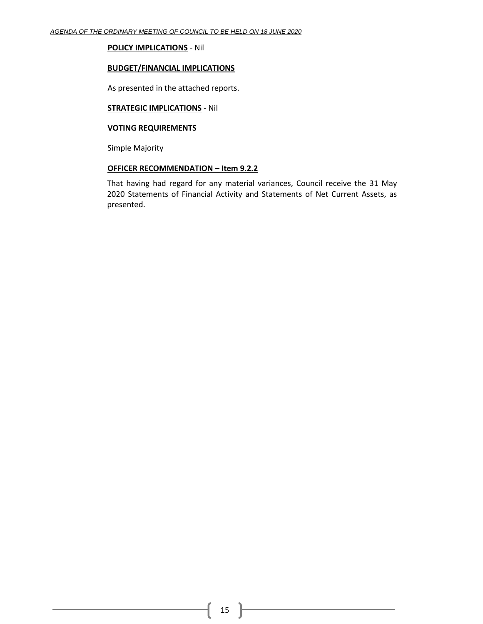## **POLICY IMPLICATIONS** - Nil

#### **BUDGET/FINANCIAL IMPLICATIONS**

As presented in the attached reports.

## **STRATEGIC IMPLICATIONS** - Nil

#### **VOTING REQUIREMENTS**

Simple Majority

## **OFFICER RECOMMENDATION – Item 9.2.2**

That having had regard for any material variances, Council receive the 31 May 2020 Statements of Financial Activity and Statements of Net Current Assets, as presented.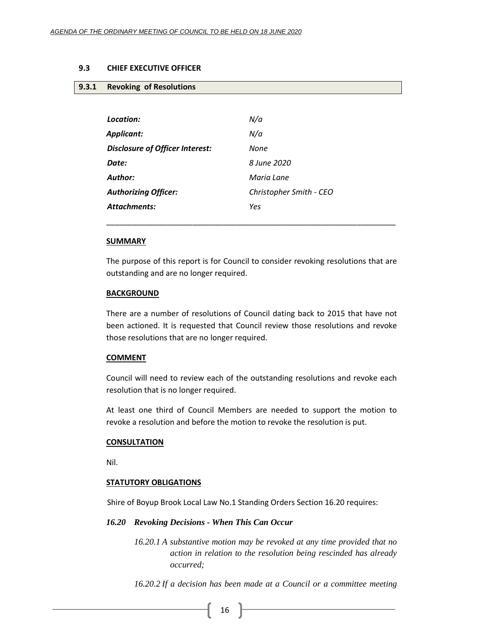#### <span id="page-15-1"></span><span id="page-15-0"></span>**9.3 CHIEF EXECUTIVE OFFICER**

#### **9.3.1 Revoking of Resolutions**

| Location:                              | N/a                     |
|----------------------------------------|-------------------------|
| Applicant:                             | N/a                     |
| <b>Disclosure of Officer Interest:</b> | None                    |
| Date:                                  | 8 June 2020             |
| <b>Author:</b>                         | Maria Lane              |
| <b>Authorizing Officer:</b>            | Christopher Smith - CEO |
| <b>Attachments:</b>                    | Yes                     |

#### **SUMMARY**

The purpose of this report is for Council to consider revoking resolutions that are outstanding and are no longer required.

\_\_\_\_\_\_\_\_\_\_\_\_\_\_\_\_\_\_\_\_\_\_\_\_\_\_\_\_\_\_\_\_\_\_\_\_\_\_\_\_\_\_\_\_\_\_\_\_\_\_\_\_\_\_\_\_\_\_\_\_\_\_\_\_\_\_\_

#### **BACKGROUND**

There are a number of resolutions of Council dating back to 2015 that have not been actioned. It is requested that Council review those resolutions and revoke those resolutions that are no longer required.

#### **COMMENT**

Council will need to review each of the outstanding resolutions and revoke each resolution that is no longer required.

At least one third of Council Members are needed to support the motion to revoke a resolution and before the motion to revoke the resolution is put.

#### **CONSULTATION**

Nil.

#### **STATUTORY OBLIGATIONS**

Shire of Boyup Brook Local Law No.1 Standing Orders Section 16.20 requires:

#### *16.20 Revoking Decisions - When This Can Occur*

*16.20.1 A substantive motion may be revoked at any time provided that no action in relation to the resolution being rescinded has already occurred;*

*16.20.2 If a decision has been made at a Council or a committee meeting*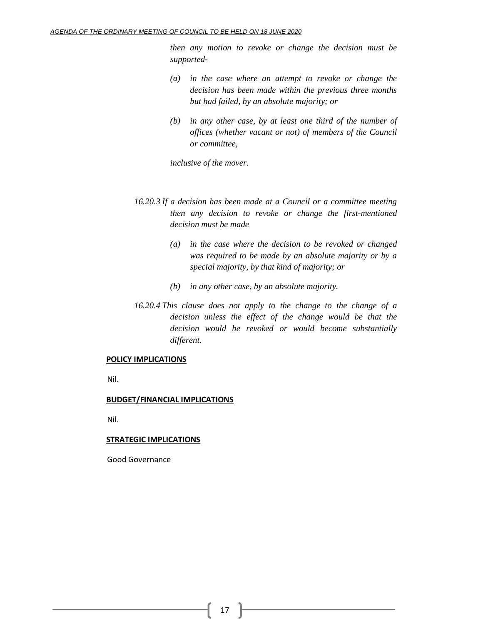*then any motion to revoke or change the decision must be supported-*

- *(a) in the case where an attempt to revoke or change the decision has been made within the previous three months but had failed, by an absolute majority; or*
- *(b) in any other case, by at least one third of the number of offices (whether vacant or not) of members of the Council or committee,*

*inclusive of the mover.*

- *16.20.3 If a decision has been made at a Council or a committee meeting then any decision to revoke or change the first-mentioned decision must be made*
	- *(a) in the case where the decision to be revoked or changed was required to be made by an absolute majority or by a special majority, by that kind of majority; or*
	- *(b) in any other case, by an absolute majority.*
- *16.20.4 This clause does not apply to the change to the change of a decision unless the effect of the change would be that the decision would be revoked or would become substantially different.*

## **POLICY IMPLICATIONS**

Nil.

## **BUDGET/FINANCIAL IMPLICATIONS**

Nil.

## **STRATEGIC IMPLICATIONS**

Good Governance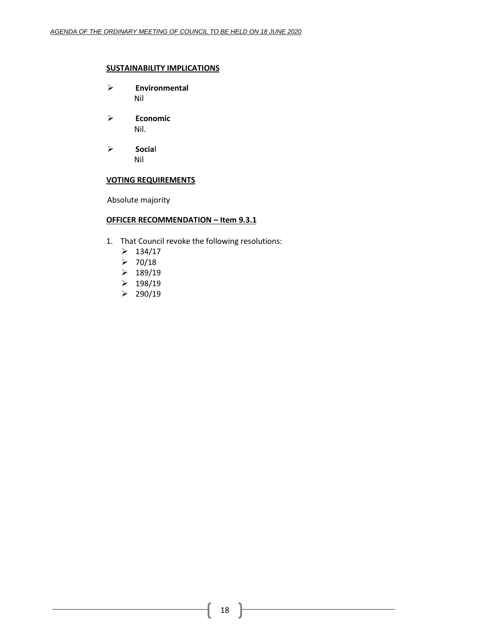## **SUSTAINABILITY IMPLICATIONS**

- ➢ **Environmental** Nil
- ➢ **Economic** Nil.
- ➢ **Socia**l Nil

## **VOTING REQUIREMENTS**

Absolute majority

## **OFFICER RECOMMENDATION – Item 9.3.1**

- 1. That Council revoke the following resolutions:
	- $> 134/17$
	- $> 70/18$
	- $\geq 189/19$
	- $\geq 198/19$
	- $\geq$  290/19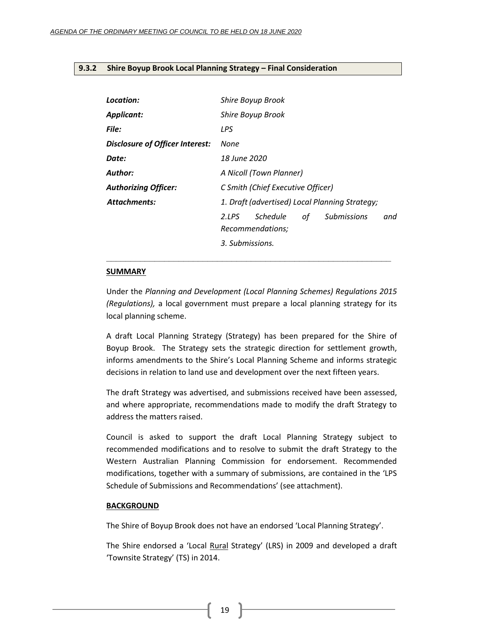#### <span id="page-18-0"></span>**9.3.2 Shire Boyup Brook Local Planning Strategy – Final Consideration**

| Location:                       | Shire Boyup Brook                                                        |  |  |  |
|---------------------------------|--------------------------------------------------------------------------|--|--|--|
| <b>Applicant:</b>               | Shire Boyup Brook                                                        |  |  |  |
| <b>File:</b>                    | LPS                                                                      |  |  |  |
| Disclosure of Officer Interest: | None                                                                     |  |  |  |
| Date:                           | 18 June 2020                                                             |  |  |  |
| Author:                         | A Nicoll (Town Planner)                                                  |  |  |  |
| <b>Authorizing Officer:</b>     | C Smith (Chief Executive Officer)                                        |  |  |  |
| <b>Attachments:</b>             | 1. Draft (advertised) Local Planning Strategy;                           |  |  |  |
|                                 | Schedule<br>of<br><b>Submissions</b><br>2.LPS<br>and<br>Recommendations; |  |  |  |
|                                 | 3. Submissions.                                                          |  |  |  |

#### **SUMMARY**

Under the *Planning and Development (Local Planning Schemes) Regulations 2015 (Regulations),* a local government must prepare a local planning strategy for its local planning scheme.

**\_\_\_\_\_\_\_\_\_\_\_\_\_\_\_\_\_\_\_\_\_\_\_\_\_\_\_\_\_\_\_\_\_\_\_\_\_\_\_\_\_\_\_\_\_\_\_\_\_\_\_\_\_\_\_\_\_\_\_**

A draft Local Planning Strategy (Strategy) has been prepared for the Shire of Boyup Brook. The Strategy sets the strategic direction for settlement growth, informs amendments to the Shire's Local Planning Scheme and informs strategic decisions in relation to land use and development over the next fifteen years.

The draft Strategy was advertised, and submissions received have been assessed, and where appropriate, recommendations made to modify the draft Strategy to address the matters raised.

Council is asked to support the draft Local Planning Strategy subject to recommended modifications and to resolve to submit the draft Strategy to the Western Australian Planning Commission for endorsement. Recommended modifications, together with a summary of submissions, are contained in the 'LPS Schedule of Submissions and Recommendations' (see attachment).

#### **BACKGROUND**

The Shire of Boyup Brook does not have an endorsed 'Local Planning Strategy'.

The Shire endorsed a 'Local Rural Strategy' (LRS) in 2009 and developed a draft 'Townsite Strategy' (TS) in 2014.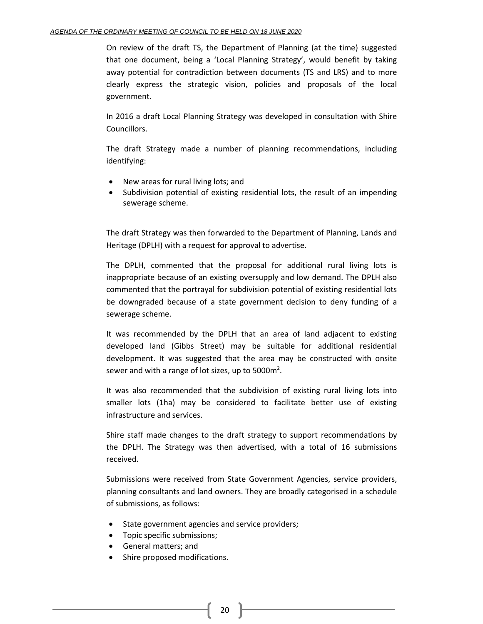On review of the draft TS, the Department of Planning (at the time) suggested that one document, being a 'Local Planning Strategy', would benefit by taking away potential for contradiction between documents (TS and LRS) and to more clearly express the strategic vision, policies and proposals of the local government.

In 2016 a draft Local Planning Strategy was developed in consultation with Shire Councillors.

The draft Strategy made a number of planning recommendations, including identifying:

- New areas for rural living lots; and
- Subdivision potential of existing residential lots, the result of an impending sewerage scheme.

The draft Strategy was then forwarded to the Department of Planning, Lands and Heritage (DPLH) with a request for approval to advertise.

The DPLH, commented that the proposal for additional rural living lots is inappropriate because of an existing oversupply and low demand. The DPLH also commented that the portrayal for subdivision potential of existing residential lots be downgraded because of a state government decision to deny funding of a sewerage scheme.

It was recommended by the DPLH that an area of land adjacent to existing developed land (Gibbs Street) may be suitable for additional residential development. It was suggested that the area may be constructed with onsite sewer and with a range of lot sizes, up to 5000 $m^2$ .

It was also recommended that the subdivision of existing rural living lots into smaller lots (1ha) may be considered to facilitate better use of existing infrastructure and services.

Shire staff made changes to the draft strategy to support recommendations by the DPLH. The Strategy was then advertised, with a total of 16 submissions received.

Submissions were received from State Government Agencies, service providers, planning consultants and land owners. They are broadly categorised in a schedule of submissions, as follows:

- State government agencies and service providers;
- Topic specific submissions;
- General matters; and
- Shire proposed modifications.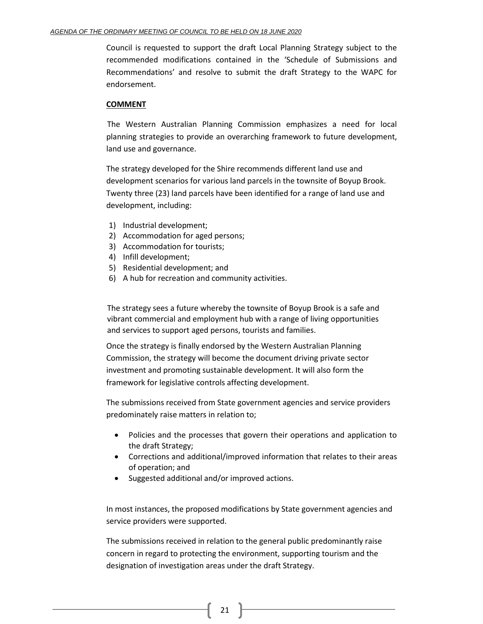Council is requested to support the draft Local Planning Strategy subject to the recommended modifications contained in the 'Schedule of Submissions and Recommendations' and resolve to submit the draft Strategy to the WAPC for endorsement.

## **COMMENT**

The Western Australian Planning Commission emphasizes a need for local planning strategies to provide an overarching framework to future development, land use and governance.

The strategy developed for the Shire recommends different land use and development scenarios for various land parcels in the townsite of Boyup Brook. Twenty three (23) land parcels have been identified for a range of land use and development, including:

- 1) Industrial development;
- 2) Accommodation for aged persons;
- 3) Accommodation for tourists;
- 4) Infill development;
- 5) Residential development; and
- 6) A hub for recreation and community activities.

The strategy sees a future whereby the townsite of Boyup Brook is a safe and vibrant commercial and employment hub with a range of living opportunities and services to support aged persons, tourists and families.

Once the strategy is finally endorsed by the Western Australian Planning Commission, the strategy will become the document driving private sector investment and promoting sustainable development. It will also form the framework for legislative controls affecting development.

The submissions received from State government agencies and service providers predominately raise matters in relation to;

- Policies and the processes that govern their operations and application to the draft Strategy;
- Corrections and additional/improved information that relates to their areas of operation; and
- Suggested additional and/or improved actions.

In most instances, the proposed modifications by State government agencies and service providers were supported.

The submissions received in relation to the general public predominantly raise concern in regard to protecting the environment, supporting tourism and the designation of investigation areas under the draft Strategy.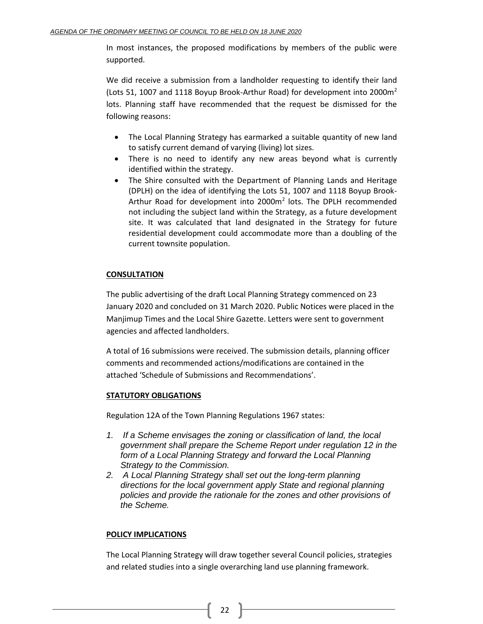In most instances, the proposed modifications by members of the public were supported.

We did receive a submission from a landholder requesting to identify their land (Lots 51, 1007 and 1118 Boyup Brook-Arthur Road) for development into 2000 $m<sup>2</sup>$ lots. Planning staff have recommended that the request be dismissed for the following reasons:

- The Local Planning Strategy has earmarked a suitable quantity of new land to satisfy current demand of varying (living) lot sizes.
- There is no need to identify any new areas beyond what is currently identified within the strategy.
- The Shire consulted with the Department of Planning Lands and Heritage (DPLH) on the idea of identifying the Lots 51, 1007 and 1118 Boyup Brook-Arthur Road for development into 2000m<sup>2</sup> lots. The DPLH recommended not including the subject land within the Strategy, as a future development site. It was calculated that land designated in the Strategy for future residential development could accommodate more than a doubling of the current townsite population.

## **CONSULTATION**

The public advertising of the draft Local Planning Strategy commenced on 23 January 2020 and concluded on 31 March 2020. Public Notices were placed in the Manjimup Times and the Local Shire Gazette. Letters were sent to government agencies and affected landholders.

A total of 16 submissions were received. The submission details, planning officer comments and recommended actions/modifications are contained in the attached 'Schedule of Submissions and Recommendations'.

## **STATUTORY OBLIGATIONS**

Regulation 12A of the Town Planning Regulations 1967 states:

- *1. If a Scheme envisages the zoning or classification of land, the local government shall prepare the Scheme Report under regulation 12 in the*  form of a Local Planning Strategy and forward the Local Planning *Strategy to the Commission.*
- *2. A Local Planning Strategy shall set out the long-term planning directions for the local government apply State and regional planning policies and provide the rationale for the zones and other provisions of the Scheme.*

## **POLICY IMPLICATIONS**

The Local Planning Strategy will draw together several Council policies, strategies and related studies into a single overarching land use planning framework.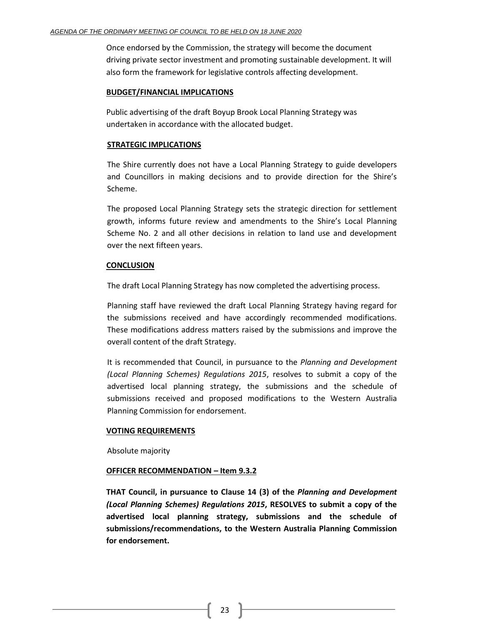Once endorsed by the Commission, the strategy will become the document driving private sector investment and promoting sustainable development. It will also form the framework for legislative controls affecting development.

## **BUDGET/FINANCIAL IMPLICATIONS**

Public advertising of the draft Boyup Brook Local Planning Strategy was undertaken in accordance with the allocated budget.

## **STRATEGIC IMPLICATIONS**

The Shire currently does not have a Local Planning Strategy to guide developers and Councillors in making decisions and to provide direction for the Shire's Scheme.

The proposed Local Planning Strategy sets the strategic direction for settlement growth, informs future review and amendments to the Shire's Local Planning Scheme No. 2 and all other decisions in relation to land use and development over the next fifteen years.

## **CONCLUSION**

The draft Local Planning Strategy has now completed the advertising process.

Planning staff have reviewed the draft Local Planning Strategy having regard for the submissions received and have accordingly recommended modifications. These modifications address matters raised by the submissions and improve the overall content of the draft Strategy.

It is recommended that Council, in pursuance to the *Planning and Development (Local Planning Schemes) Regulations 2015*, resolves to submit a copy of the advertised local planning strategy, the submissions and the schedule of submissions received and proposed modifications to the Western Australia Planning Commission for endorsement.

## **VOTING REQUIREMENTS**

Absolute majority

## **OFFICER RECOMMENDATION – Item 9.3.2**

**THAT Council, in pursuance to Clause 14 (3) of the** *Planning and Development (Local Planning Schemes) Regulations 2015***, RESOLVES to submit a copy of the advertised local planning strategy, submissions and the schedule of submissions/recommendations, to the Western Australia Planning Commission for endorsement.**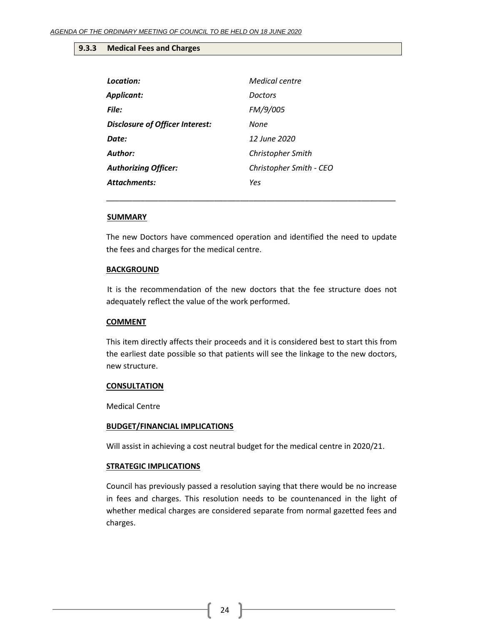#### <span id="page-23-0"></span>**9.3.3 Medical Fees and Charges**

| Location:                              | <b>Medical centre</b>   |
|----------------------------------------|-------------------------|
| <b>Applicant:</b>                      | Doctors                 |
| File:                                  | FM/9/005                |
| <b>Disclosure of Officer Interest:</b> | None                    |
| Date:                                  | 12 June 2020            |
| Author:                                | Christopher Smith       |
| <b>Authorizing Officer:</b>            | Christopher Smith - CEO |
| Attachments:                           | Yes                     |

#### **SUMMARY**

The new Doctors have commenced operation and identified the need to update the fees and charges for the medical centre.

\_\_\_\_\_\_\_\_\_\_\_\_\_\_\_\_\_\_\_\_\_\_\_\_\_\_\_\_\_\_\_\_\_\_\_\_\_\_\_\_\_\_\_\_\_\_\_\_\_\_\_\_\_\_\_\_\_\_\_\_\_\_\_\_\_\_\_

#### **BACKGROUND**

It is the recommendation of the new doctors that the fee structure does not adequately reflect the value of the work performed.

#### **COMMENT**

This item directly affects their proceeds and it is considered best to start this from the earliest date possible so that patients will see the linkage to the new doctors, new structure.

#### **CONSULTATION**

Medical Centre

#### **BUDGET/FINANCIAL IMPLICATIONS**

Will assist in achieving a cost neutral budget for the medical centre in 2020/21.

#### **STRATEGIC IMPLICATIONS**

Council has previously passed a resolution saying that there would be no increase in fees and charges. This resolution needs to be countenanced in the light of whether medical charges are considered separate from normal gazetted fees and charges.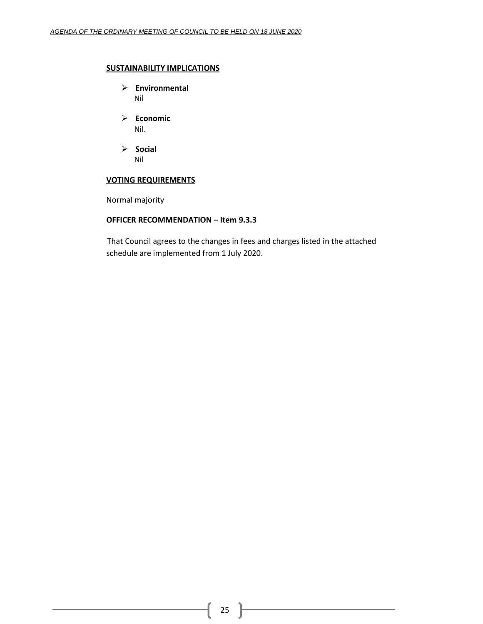## **SUSTAINABILITY IMPLICATIONS**

- ➢ **Environmental** Nil
- ➢ **Economic** Nil.
- ➢ **Socia**l Nil

## **VOTING REQUIREMENTS**

Normal majority

## **OFFICER RECOMMENDATION – Item 9.3.3**

That Council agrees to the changes in fees and charges listed in the attached schedule are implemented from 1 July 2020.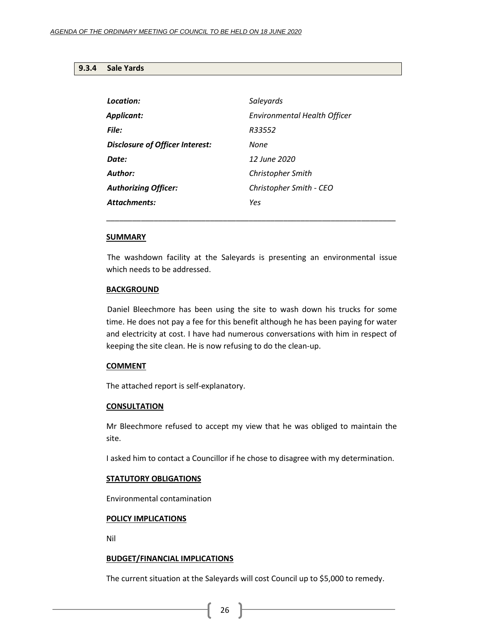#### <span id="page-25-0"></span>**9.3.4 Sale Yards**

| Location:                       | Saleyards                    |
|---------------------------------|------------------------------|
| <b>Applicant:</b>               | Environmental Health Officer |
| File:                           | R33552                       |
| Disclosure of Officer Interest: | None                         |
| Date:                           | 12 June 2020                 |
| Author:                         | Christopher Smith            |
| <b>Authorizing Officer:</b>     | Christopher Smith - CEO      |
| <b>Attachments:</b>             | Yes                          |

#### **SUMMARY**

The washdown facility at the Saleyards is presenting an environmental issue which needs to be addressed.

\_\_\_\_\_\_\_\_\_\_\_\_\_\_\_\_\_\_\_\_\_\_\_\_\_\_\_\_\_\_\_\_\_\_\_\_\_\_\_\_\_\_\_\_\_\_\_\_\_\_\_\_\_\_\_\_\_\_\_\_\_\_\_\_\_\_\_

#### **BACKGROUND**

Daniel Bleechmore has been using the site to wash down his trucks for some time. He does not pay a fee for this benefit although he has been paying for water and electricity at cost. I have had numerous conversations with him in respect of keeping the site clean. He is now refusing to do the clean-up.

#### **COMMENT**

The attached report is self-explanatory.

#### **CONSULTATION**

Mr Bleechmore refused to accept my view that he was obliged to maintain the site.

I asked him to contact a Councillor if he chose to disagree with my determination.

#### **STATUTORY OBLIGATIONS**

Environmental contamination

#### **POLICY IMPLICATIONS**

Nil

#### **BUDGET/FINANCIAL IMPLICATIONS**

The current situation at the Saleyards will cost Council up to \$5,000 to remedy.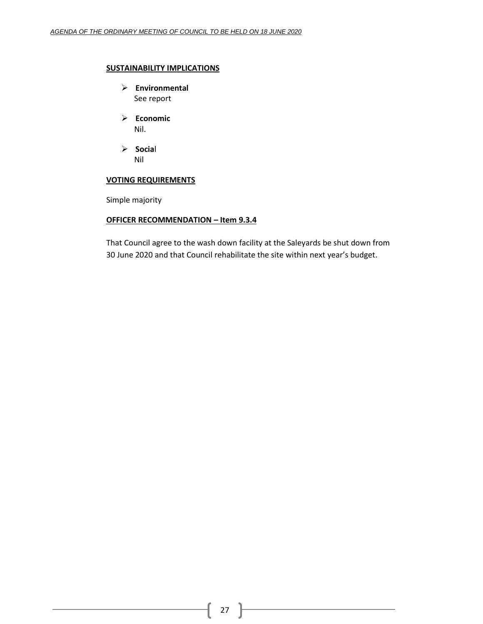## **SUSTAINABILITY IMPLICATIONS**

- ➢ **Environmental** See report
- ➢ **Economic** Nil.
- ➢ **Socia**l Nil

## **VOTING REQUIREMENTS**

Simple majority

## **OFFICER RECOMMENDATION – Item 9.3.4**

That Council agree to the wash down facility at the Saleyards be shut down from 30 June 2020 and that Council rehabilitate the site within next year's budget.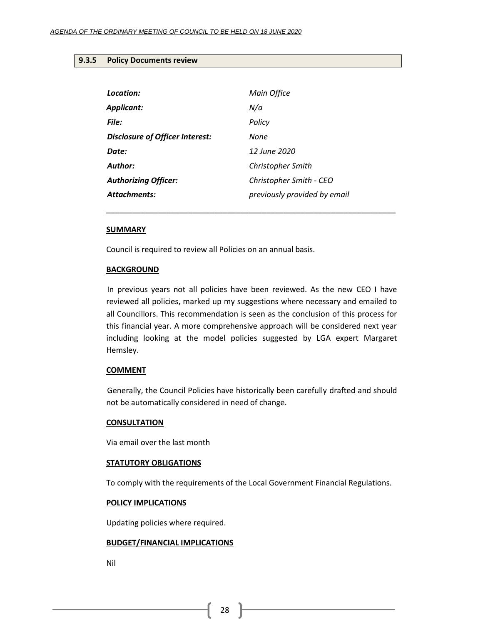#### <span id="page-27-0"></span>**9.3.5 Policy Documents review**

| Location:                              | Main Office                  |
|----------------------------------------|------------------------------|
| <b>Applicant:</b>                      | N/a                          |
| File:                                  | Policy                       |
| <b>Disclosure of Officer Interest:</b> | None                         |
| Date:                                  | 12 June 2020                 |
| Author:                                | Christopher Smith            |
| <b>Authorizing Officer:</b>            | Christopher Smith - CEO      |
| <b>Attachments:</b>                    | previously provided by email |
|                                        |                              |

#### **SUMMARY**

Council is required to review all Policies on an annual basis.

#### **BACKGROUND**

In previous years not all policies have been reviewed. As the new CEO I have reviewed all policies, marked up my suggestions where necessary and emailed to all Councillors. This recommendation is seen as the conclusion of this process for this financial year. A more comprehensive approach will be considered next year including looking at the model policies suggested by LGA expert Margaret Hemsley.

\_\_\_\_\_\_\_\_\_\_\_\_\_\_\_\_\_\_\_\_\_\_\_\_\_\_\_\_\_\_\_\_\_\_\_\_\_\_\_\_\_\_\_\_\_\_\_\_\_\_\_\_\_\_\_\_\_\_\_\_\_\_\_\_\_\_\_

#### **COMMENT**

Generally, the Council Policies have historically been carefully drafted and should not be automatically considered in need of change.

#### **CONSULTATION**

Via email over the last month

#### **STATUTORY OBLIGATIONS**

To comply with the requirements of the Local Government Financial Regulations.

#### **POLICY IMPLICATIONS**

Updating policies where required.

## **BUDGET/FINANCIAL IMPLICATIONS**

Nil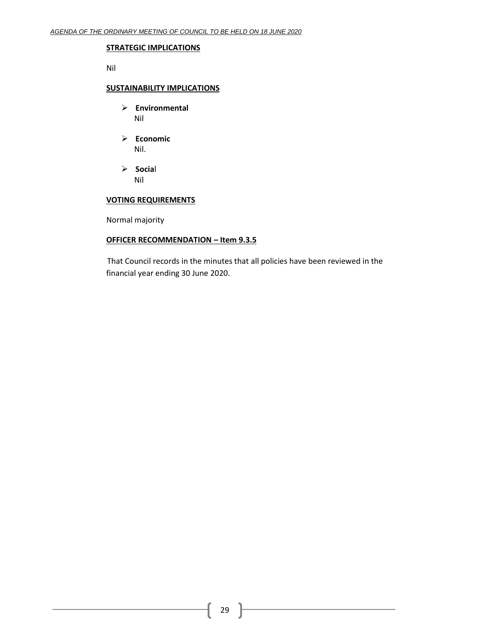#### **STRATEGIC IMPLICATIONS**

Nil

## **SUSTAINABILITY IMPLICATIONS**

- ➢ **Environmental** Nil
- ➢ **Economic** Nil.
- ➢ **Socia**l Nil

## **VOTING REQUIREMENTS**

Normal majority

## **OFFICER RECOMMENDATION – Item 9.3.5**

That Council records in the minutes that all policies have been reviewed in the financial year ending 30 June 2020.